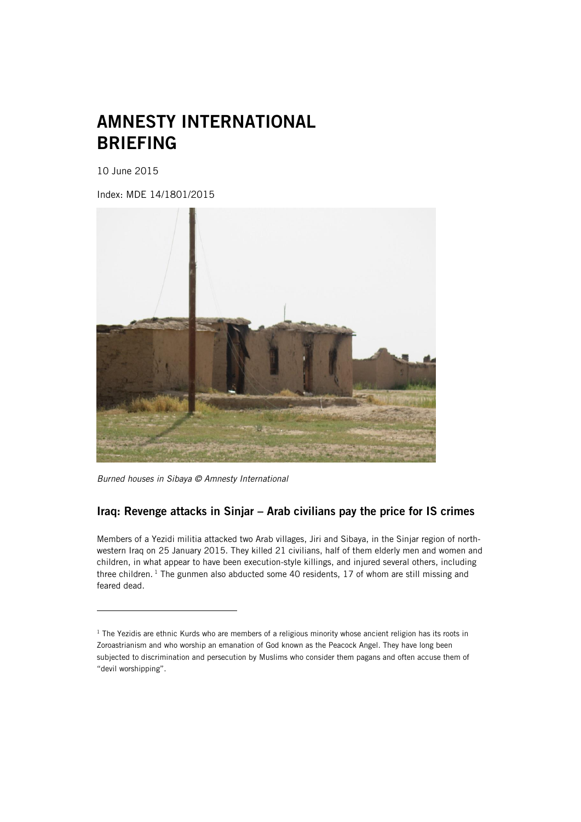# AMNESTY INTERNATIONAL BRIEFING

10 June 2015

ł

Index: MDE 14/1801/2015



*Burned houses in Sibaya © Amnesty International*

# Iraq: Revenge attacks in Sinjar – Arab civilians pay the price for IS crimes

Members of a Yezidi militia attacked two Arab villages, Jiri and Sibaya, in the Sinjar region of northwestern Iraq on 25 January 2015. They killed 21 civilians, half of them elderly men and women and children, in what appear to have been execution-style killings, and injured several others, including three children.<sup>1</sup> The gunmen also abducted some 40 residents, 17 of whom are still missing and feared dead.

<sup>&</sup>lt;sup>1</sup> The Yezidis are ethnic Kurds who are members of a religious minority whose ancient religion has its roots in Zoroastrianism and who worship an emanation of God known as the Peacock Angel. They have long been subjected to discrimination and persecution by Muslims who consider them pagans and often accuse them of "devil worshipping".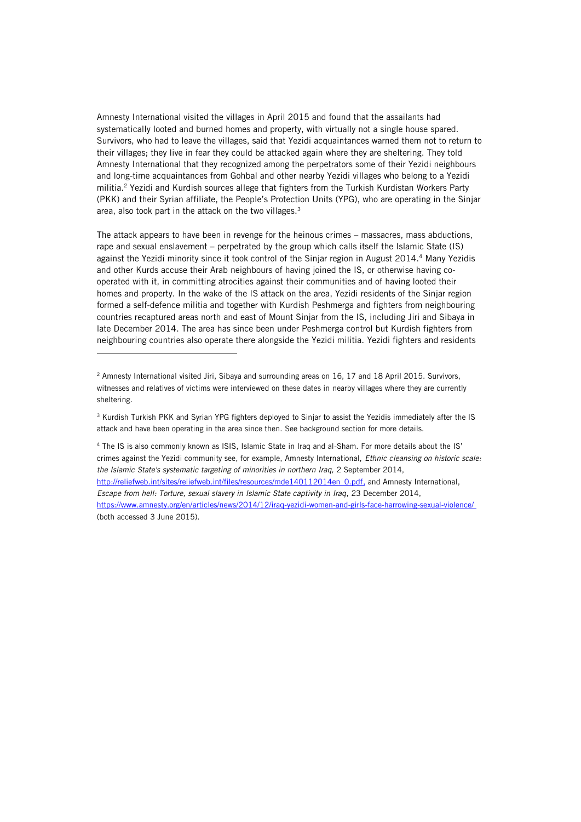Amnesty International visited the villages in April 2015 and found that the assailants had systematically looted and burned homes and property, with virtually not a single house spared. Survivors, who had to leave the villages, said that Yezidi acquaintances warned them not to return to their villages; they live in fear they could be attacked again where they are sheltering. They told Amnesty International that they recognized among the perpetrators some of their Yezidi neighbours and long-time acquaintances from Gohbal and other nearby Yezidi villages who belong to a Yezidi militia.<sup>2</sup> Yezidi and Kurdish sources allege that fighters from the Turkish Kurdistan Workers Party (PKK) and their Syrian affiliate, the People's Protection Units (YPG), who are operating in the Sinjar area, also took part in the attack on the two villages.<sup>3</sup>

The attack appears to have been in revenge for the heinous crimes – massacres, mass abductions, rape and sexual enslavement – perpetrated by the group which calls itself the Islamic State (IS) against the Yezidi minority since it took control of the Sinjar region in August 2014.<sup>4</sup> Many Yezidis and other Kurds accuse their Arab neighbours of having joined the IS, or otherwise having cooperated with it, in committing atrocities against their communities and of having looted their homes and property. In the wake of the IS attack on the area, Yezidi residents of the Sinjar region formed a self-defence militia and together with Kurdish Peshmerga and fighters from neighbouring countries recaptured areas north and east of Mount Sinjar from the IS, including Jiri and Sibaya in late December 2014. The area has since been under Peshmerga control but Kurdish fighters from neighbouring countries also operate there alongside the Yezidi militia. Yezidi fighters and residents

ł

<sup>3</sup> Kurdish Turkish PKK and Syrian YPG fighters deployed to Sinjar to assist the Yezidis immediately after the IS attack and have been operating in the area since then. See background section for more details.

<sup>4</sup> The IS is also commonly known as ISIS, Islamic State in Iraq and al-Sham. For more details about the IS' crimes against the Yezidi community see, for example, Amnesty International, *Ethnic cleansing on historic scale: the Islamic State's systematic targeting of minorities in northern Iraq,* 2 September 2014, [http://reliefweb.int/sites/reliefweb.int/files/resources/mde140112014en\\_0.pdf,](http://reliefweb.int/sites/reliefweb.int/files/resources/mde140112014en_0.pdf) and Amnesty International, *Escape from hell: Torture, sexual slavery in Islamic State captivity in Iraq*, 23 December 2014, <https://www.amnesty.org/en/articles/news/2014/12/iraq-yezidi-women-and-girls-face-harrowing-sexual-violence/> (both accessed 3 June 2015).

<sup>&</sup>lt;sup>2</sup> Amnesty International visited Jiri, Sibaya and surrounding areas on 16, 17 and 18 April 2015. Survivors, witnesses and relatives of victims were interviewed on these dates in nearby villages where they are currently sheltering.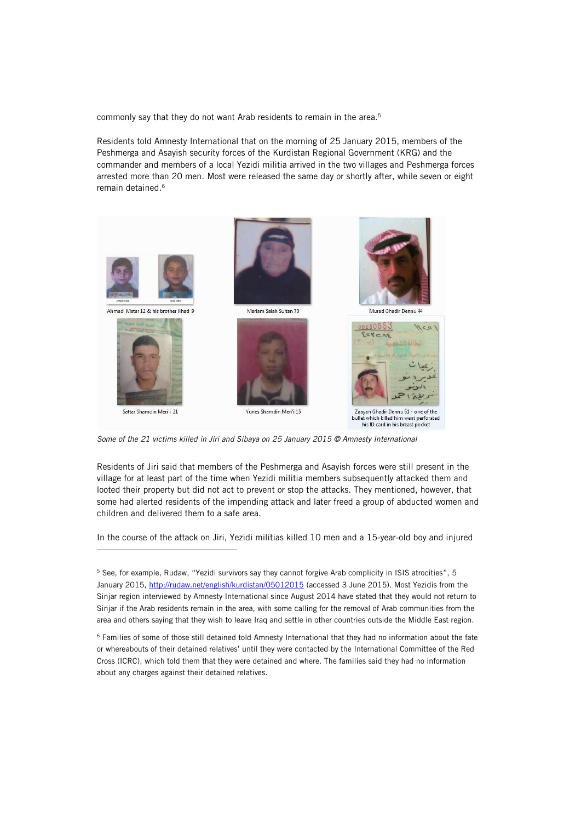commonly say that they do not want Arab residents to remain in the area.<sup>5</sup>

Residents told Amnesty International that on the morning of 25 January 2015, members of the Peshmerga and Asayish security forces of the Kurdistan Regional Government (KRG) and the commander and members of a local Yezidi militia arrived in the two villages and Peshmerga forces arrested more than 20 men. Most were released the same day or shortly after, while seven or eight remain detained.<sup>6</sup>



*Some of the 21 victims killed in Jiri and Sibaya on 25 January 2015 © Amnesty International*

j

Residents of Jiri said that members of the Peshmerga and Asayish forces were still present in the village for at least part of the time when Yezidi militia members subsequently attacked them and looted their property but did not act to prevent or stop the attacks. They mentioned, however, that some had alerted residents of the impending attack and later freed a group of abducted women and children and delivered them to a safe area.

In the course of the attack on Jiri, Yezidi militias killed 10 men and a 15-year-old boy and injured

<sup>5</sup> See, for example, Rudaw, "Yezidi survivors say they cannot forgive Arab complicity in ISIS atrocities", 5 January 2015,<http://rudaw.net/english/kurdistan/05012015> (accessed 3 June 2015). Most Yezidis from the Sinjar region interviewed by Amnesty International since August 2014 have stated that they would not return to Sinjar if the Arab residents remain in the area, with some calling for the removal of Arab communities from the area and others saying that they wish to leave Iraq and settle in other countries outside the Middle East region.

<sup>6</sup> Families of some of those still detained told Amnesty International that they had no information about the fate or whereabouts of their detained relatives' until they were contacted by the International Committee of the Red Cross (ICRC), which told them that they were detained and where. The families said they had no information about any charges against their detained relatives.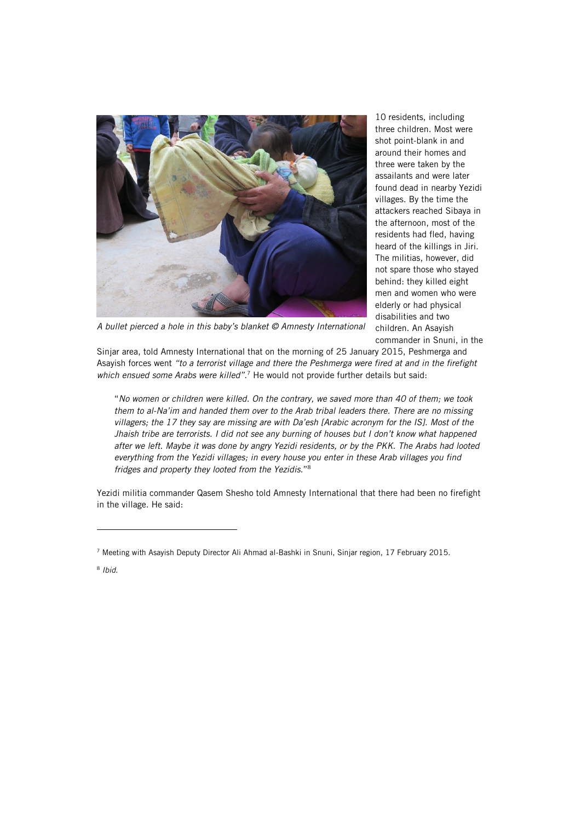

10 residents, including three children. Most were shot point-blank in and around their homes and three were taken by the assailants and were later found dead in nearby Yezidi villages. By the time the attackers reached Sibaya in the afternoon, most of the residents had fled, having heard of the killings in Jiri. The militias, however, did not spare those who stayed behind: they killed eight men and women who were elderly or had physical disabilities and two children. An Asayish commander in Snuni, in the

*A bullet pierced a hole in this baby's blanket © Amnesty International*

Sinjar area, told Amnesty International that on the morning of 25 January 2015, Peshmerga and Asayish forces went *"to a terrorist village and there the Peshmerga were fired at and in the firefight*  which ensued some Arabs were killed".<sup>7</sup> He would not provide further details but said:

"*No women or children were killed. On the contrary, we saved more than 40 of them; we took them to al-Na'im and handed them over to the Arab tribal leaders there. There are no missing villagers; the 17 they say are missing are with Da'esh [Arabic acronym for the IS]. Most of the Jhaish tribe are terrorists. I did not see any burning of houses but I don't know what happened after we left. Maybe it was done by angry Yezidi residents, or by the PKK. The Arabs had looted everything from the Yezidi villages; in every house you enter in these Arab villages you find fridges and property they looted from the Yezidis.*" 8

Yezidi militia commander Qasem Shesho told Amnesty International that there had been no firefight in the village. He said:

8 *Ibid*.

j

<sup>7</sup> Meeting with Asayish Deputy Director Ali Ahmad al-Bashki in Snuni, Sinjar region, 17 February 2015.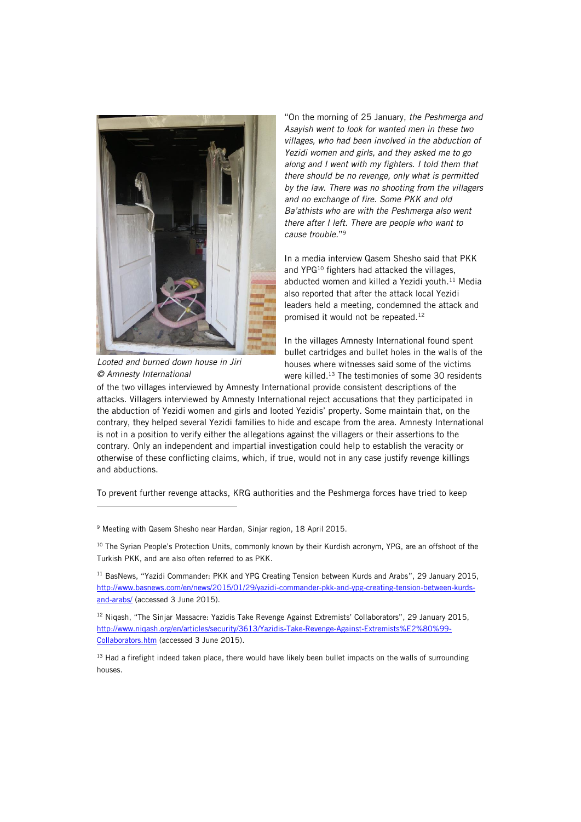

*Looted and burned down house in Jiri © Amnesty International*

j

"On the morning of 25 January, *the Peshmerga and Asayish went to look for wanted men in these two villages, who had been involved in the abduction of Yezidi women and girls, and they asked me to go along and I went with my fighters. I told them that there should be no revenge, only what is permitted by the law. There was no shooting from the villagers and no exchange of fire. Some PKK and old Ba'athists who are with the Peshmerga also went there after I left. There are people who want to cause trouble.*" 9

In a media interview Qasem Shesho said that PKK and YPG<sup>10</sup> fighters had attacked the villages, abducted women and killed a Yezidi youth. $11$  Media also reported that after the attack local Yezidi leaders held a meeting, condemned the attack and promised it would not be repeated.<sup>12</sup>

In the villages Amnesty International found spent bullet cartridges and bullet holes in the walls of the houses where witnesses said some of the victims were killed. <sup>13</sup> The testimonies of some 30 residents

of the two villages interviewed by Amnesty International provide consistent descriptions of the attacks. Villagers interviewed by Amnesty International reject accusations that they participated in the abduction of Yezidi women and girls and looted Yezidis' property. Some maintain that, on the contrary, they helped several Yezidi families to hide and escape from the area. Amnesty International is not in a position to verify either the allegations against the villagers or their assertions to the contrary. Only an independent and impartial investigation could help to establish the veracity or otherwise of these conflicting claims, which, if true, would not in any case justify revenge killings and abductions.

To prevent further revenge attacks, KRG authorities and the Peshmerga forces have tried to keep

<sup>9</sup> Meeting with Qasem Shesho near Hardan, Sinjar region, 18 April 2015.

<sup>10</sup> The Syrian People's Protection Units, commonly known by their Kurdish acronym, YPG, are an offshoot of the Turkish PKK, and are also often referred to as PKK.

<sup>11</sup> BasNews, "Yazidi Commander: PKK and YPG Creating Tension between Kurds and Arabs", 29 January 2015, [http://www.basnews.com/en/news/2015/01/29/yazidi-commander-pkk-and-ypg-creating-tension-between-kurds](http://www.basnews.com/en/news/2015/01/29/yazidi-commander-pkk-and-ypg-creating-tension-between-kurds-and-arabs/)[and-arabs/](http://www.basnews.com/en/news/2015/01/29/yazidi-commander-pkk-and-ypg-creating-tension-between-kurds-and-arabs/) (accessed 3 June 2015).

<sup>12</sup> Nigash, "The Sinjar Massacre: Yazidis Take Revenge Against Extremists' Collaborators", 29 January 2015, [http://www.niqash.org/en/articles/security/3613/Yazidis-Take-Revenge-Against-Extremists%E2%80%99-](http://www.niqash.org/en/articles/security/3613/Yazidis-Take-Revenge-Against-Extremists%E2%80%99-Collaborators.htm) [Collaborators.htm](http://www.niqash.org/en/articles/security/3613/Yazidis-Take-Revenge-Against-Extremists%E2%80%99-Collaborators.htm) (accessed 3 June 2015).

<sup>13</sup> Had a firefight indeed taken place, there would have likely been bullet impacts on the walls of surrounding houses.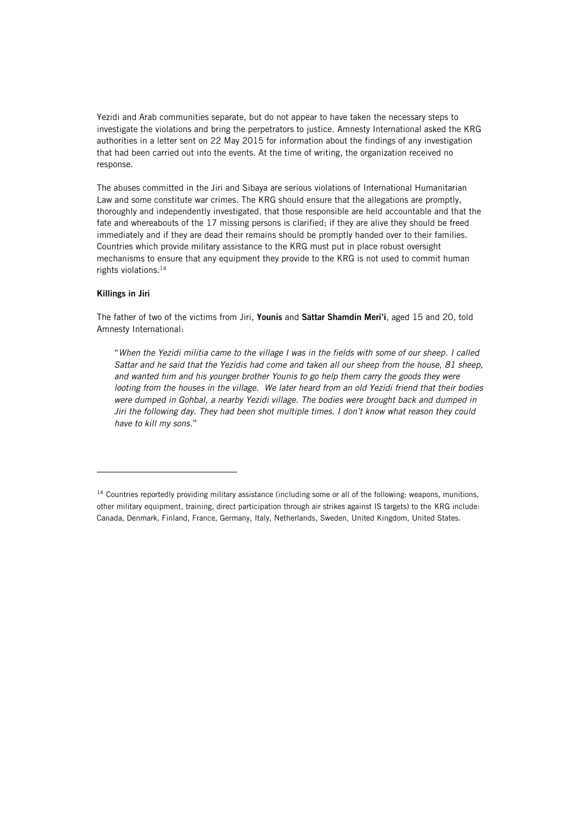Yezidi and Arab communities separate, but do not appear to have taken the necessary steps to investigate the violations and bring the perpetrators to justice. Amnesty International asked the KRG authorities in a letter sent on 22 May 2015 for information about the findings of any investigation that had been carried out into the events. At the time of writing, the organization received no response.

The abuses committed in the Jiri and Sibaya are serious violations of International Humanitarian Law and some constitute war crimes. The KRG should ensure that the allegations are promptly, thoroughly and independently investigated, that those responsible are held accountable and that the fate and whereabouts of the 17 missing persons is clarified; if they are alive they should be freed immediately and if they are dead their remains should be promptly handed over to their families. Countries which provide military assistance to the KRG must put in place robust oversight mechanisms to ensure that any equipment they provide to the KRG is not used to commit human rights violations. 14

### Killings in Jiri

ł

The father of two of the victims from Jiri, Younis and Sattar Shamdin Meri'i, aged 15 and 20, told Amnesty International:

"*When the Yezidi militia came to the village I was in the fields with some of our sheep. I called Sattar and he said that the Yezidis had come and taken all our sheep from the house, 81 sheep, and wanted him and his younger brother Younis to go help them carry the goods they were looting from the houses in the village. We later heard from an old Yezidi friend that their bodies were dumped in Gohbal, a nearby Yezidi village. The bodies were brought back and dumped in Jiri the following day. They had been shot multiple times. I don't know what reason they could have to kill my sons.*"

<sup>14</sup> Countries reportedly providing military assistance (including some or all of the following: weapons, munitions, other military equipment, training, direct participation through air strikes against IS targets) to the KRG include: Canada, Denmark, Finland, France, Germany, Italy, Netherlands, Sweden, United Kingdom, United States.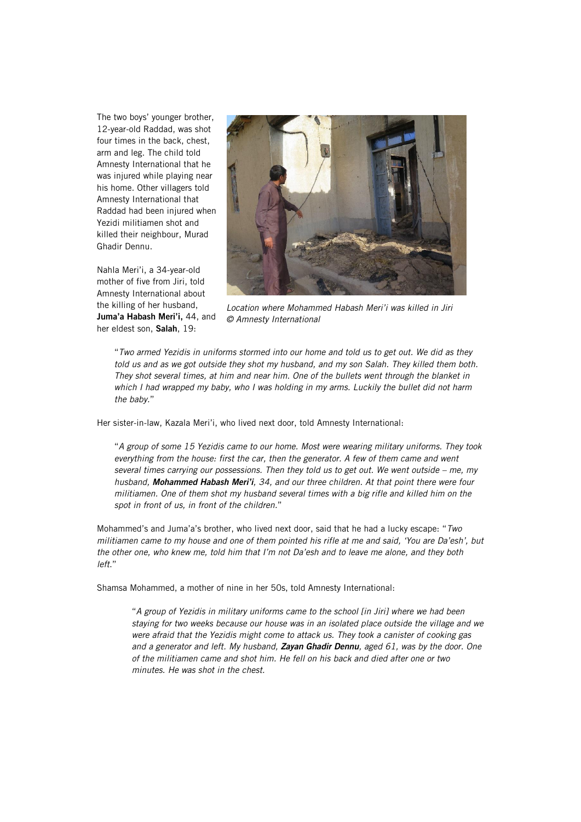The two boys' younger brother, 12-year-old Raddad, was shot four times in the back, chest, arm and leg. The child told Amnesty International that he was injured while playing near his home. Other villagers told Amnesty International that Raddad had been injured when Yezidi militiamen shot and killed their neighbour, Murad Ghadir Dennu.

Nahla Meri'i, a 34-year-old mother of five from Jiri, told Amnesty International about the killing of her husband, Juma'a Habash Meri'i, 44, and her eldest son, Salah, 19:



*Location where Mohammed Habash Meri'i was killed in Jiri © Amnesty International*

"*Two armed Yezidis in uniforms stormed into our home and told us to get out. We did as they told us and as we got outside they shot my husband, and my son Salah. They killed them both. They shot several times, at him and near him. One of the bullets went through the blanket in which I had wrapped my baby, who I was holding in my arms. Luckily the bullet did not harm the baby.*"

Her sister-in-law, Kazala Meri'i, who lived next door, told Amnesty International:

"*A group of some 15 Yezidis came to our home. Most were wearing military uniforms. They took everything from the house: first the car, then the generator. A few of them came and went several times carrying our possessions. Then they told us to get out. We went outside – me, my husband, Mohammed Habash Meri'i, 34, and our three children. At that point there were four militiamen. One of them shot my husband several times with a big rifle and killed him on the spot in front of us, in front of the children.*"

Mohammed's and Juma'a's brother, who lived next door, said that he had a lucky escape: "*Two militiamen came to my house and one of them pointed his rifle at me and said, 'You are Da'esh', but the other one, who knew me, told him that I'm not Da'esh and to leave me alone, and they both left*."

Shamsa Mohammed, a mother of nine in her 50s, told Amnesty International:

"*A group of Yezidis in military uniforms came to the school [in Jiri] where we had been staying for two weeks because our house was in an isolated place outside the village and we were afraid that the Yezidis might come to attack us. They took a canister of cooking gas and a generator and left. My husband, Zayan Ghadir Dennu, aged 61, was by the door. One of the militiamen came and shot him. He fell on his back and died after one or two minutes. He was shot in the chest.*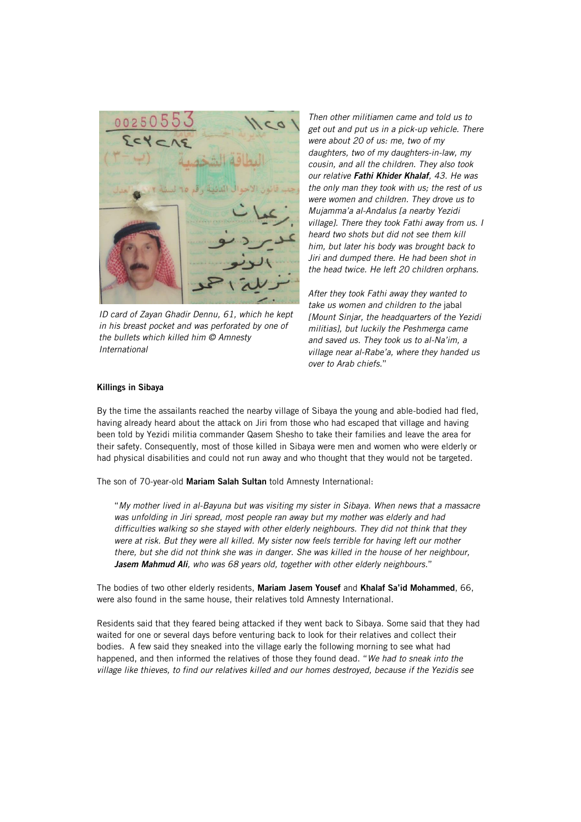

*ID card of Zayan Ghadir Dennu, 61, which he kept in his breast pocket and was perforated by one of the bullets which killed him © Amnesty International*

*Then other militiamen came and told us to get out and put us in a pick-up vehicle. There were about 20 of us: me, two of my daughters, two of my daughters-in-law, my cousin, and all the children. They also took our relative Fathi Khider Khalaf, 43. He was the only man they took with us; the rest of us were women and children. They drove us to Mujamma'a al-Andalus [a nearby Yezidi village]. There they took Fathi away from us. I heard two shots but did not see them kill him, but later his body was brought back to Jiri and dumped there. He had been shot in the head twice. He left 20 children orphans.* 

*After they took Fathi away they wanted to take us women and children to the* jabal *[Mount Sinjar, the headquarters of the Yezidi militias], but luckily the Peshmerga came and saved us. They took us to al-Na'im, a village near al-Rabe'a, where they handed us over to Arab chiefs.*"

#### Killings in Sibaya

By the time the assailants reached the nearby village of Sibaya the young and able-bodied had fled, having already heard about the attack on Jiri from those who had escaped that village and having been told by Yezidi militia commander Qasem Shesho to take their families and leave the area for their safety. Consequently, most of those killed in Sibaya were men and women who were elderly or had physical disabilities and could not run away and who thought that they would not be targeted.

The son of 70-year-old Mariam Salah Sultan told Amnesty International:

"*My mother lived in al-Bayuna but was visiting my sister in Sibaya. When news that a massacre was unfolding in Jiri spread, most people ran away but my mother was elderly and had difficulties walking so she stayed with other elderly neighbours. They did not think that they were at risk. But they were all killed. My sister now feels terrible for having left our mother there, but she did not think she was in danger. She was killed in the house of her neighbour, Jasem Mahmud Ali, who was 68 years old, together with other elderly neighbours.*"

The bodies of two other elderly residents, Mariam Jasem Yousef and Khalaf Sa'id Mohammed, 66. were also found in the same house, their relatives told Amnesty International.

Residents said that they feared being attacked if they went back to Sibaya. Some said that they had waited for one or several days before venturing back to look for their relatives and collect their bodies. A few said they sneaked into the village early the following morning to see what had happened, and then informed the relatives of those they found dead. "*We had to sneak into the village like thieves, to find our relatives killed and our homes destroyed, because if the Yezidis see*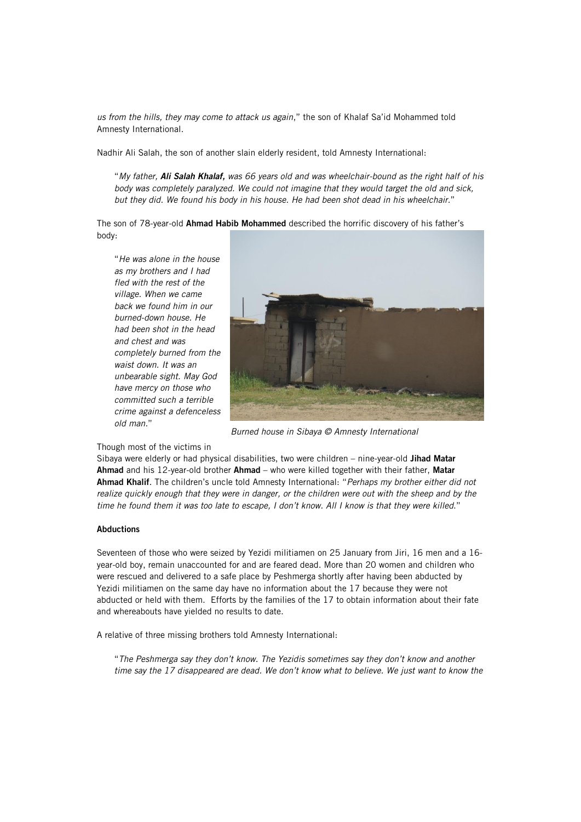*us from the hills, they may come to attack us again*," the son of Khalaf Sa'id Mohammed told Amnesty International.

Nadhir Ali Salah, the son of another slain elderly resident, told Amnesty International:

"*My father, Ali Salah Khalaf, was 66 years old and was wheelchair-bound as the right half of his body was completely paralyzed. We could not imagine that they would target the old and sick, but they did. We found his body in his house. He had been shot dead in his wheelchair.*"

The son of 78-year-old Ahmad Habib Mohammed described the horrific discovery of his father's body:

"*He was alone in the house as my brothers and I had fled with the rest of the village. When we came back we found him in our burned-down house. He had been shot in the head and chest and was completely burned from the waist down. It was an unbearable sight. May God have mercy on those who committed such a terrible crime against a defenceless old man.*"



*Burned house in Sibaya © Amnesty International*

#### Though most of the victims in

Sibaya were elderly or had physical disabilities, two were children - nine-year-old Jihad Matar Ahmad and his 12-year-old brother Ahmad - who were killed together with their father, Matar Ahmad Khalif. The children's uncle told Amnesty International: "*Perhaps my brother either did not realize quickly enough that they were in danger, or the children were out with the sheep and by the time he found them it was too late to escape, I don't know. All I know is that they were killed*."

### Abductions

Seventeen of those who were seized by Yezidi militiamen on 25 January from Jiri, 16 men and a 16 year-old boy, remain unaccounted for and are feared dead. More than 20 women and children who were rescued and delivered to a safe place by Peshmerga shortly after having been abducted by Yezidi militiamen on the same day have no information about the 17 because they were not abducted or held with them. Efforts by the families of the 17 to obtain information about their fate and whereabouts have yielded no results to date.

A relative of three missing brothers told Amnesty International:

"*The Peshmerga say they don't know. The Yezidis sometimes say they don't know and another time say the 17 disappeared are dead. We don't know what to believe. We just want to know the*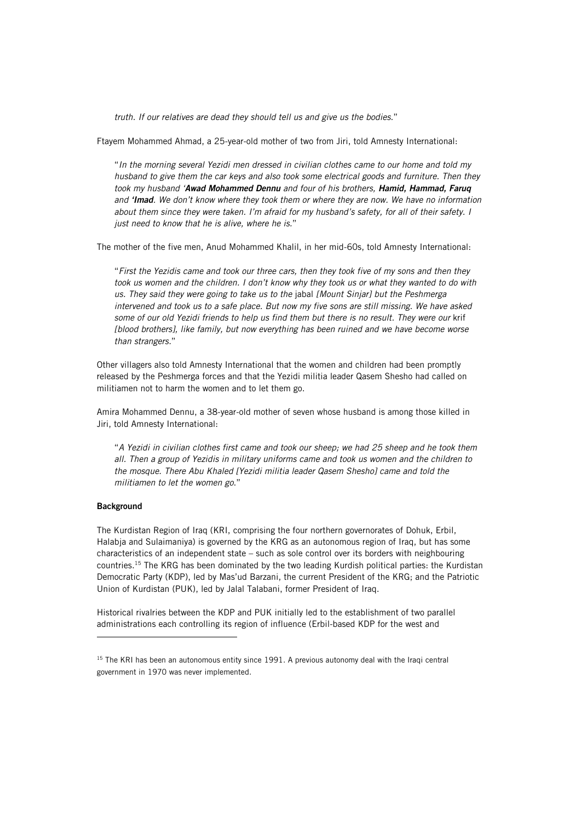*truth. If our relatives are dead they should tell us and give us the bodies.*"

Ftayem Mohammed Ahmad, a 25-year-old mother of two from Jiri, told Amnesty International:

"*In the morning several Yezidi men dressed in civilian clothes came to our home and told my husband to give them the car keys and also took some electrical goods and furniture. Then they took my husband 'Awad Mohammed Dennu and four of his brothers, Hamid, Hammad, Faruq and 'Imad. We don't know where they took them or where they are now. We have no information about them since they were taken. I'm afraid for my husband's safety, for all of their safety. I just need to know that he is alive, where he is.*"

The mother of the five men, Anud Mohammed Khalil, in her mid-60s, told Amnesty International:

"*First the Yezidis came and took our three cars, then they took five of my sons and then they took us women and the children. I don't know why they took us or what they wanted to do with us. They said they were going to take us to the* jabal *[Mount Sinjar] but the Peshmerga intervened and took us to a safe place. But now my five sons are still missing. We have asked some of our old Yezidi friends to help us find them but there is no result. They were our* krif *[blood brothers], like family, but now everything has been ruined and we have become worse than strangers.*"

Other villagers also told Amnesty International that the women and children had been promptly released by the Peshmerga forces and that the Yezidi militia leader Qasem Shesho had called on militiamen not to harm the women and to let them go.

Amira Mohammed Dennu, a 38-year-old mother of seven whose husband is among those killed in Jiri, told Amnesty International:

"*A Yezidi in civilian clothes first came and took our sheep; we had 25 sheep and he took them all. Then a group of Yezidis in military uniforms came and took us women and the children to the mosque. There Abu Khaled [Yezidi militia leader Qasem Shesho] came and told the militiamen to let the women go*."

#### **Background**

ł

The Kurdistan Region of Iraq (KRI, comprising the four northern governorates of Dohuk, Erbil, Halabja and Sulaimaniya) is governed by the KRG as an autonomous region of Iraq, but has some characteristics of an independent state – such as sole control over its borders with neighbouring countries.<sup>15</sup> The KRG has been dominated by the two leading Kurdish political parties: the Kurdistan Democratic Party (KDP), led by Mas'ud Barzani, the current President of the KRG; and the Patriotic Union of Kurdistan (PUK), led by Jalal Talabani, former President of Iraq.

Historical rivalries between the KDP and PUK initially led to the establishment of two parallel administrations each controlling its region of influence (Erbil-based KDP for the west and

<sup>&</sup>lt;sup>15</sup> The KRI has been an autonomous entity since 1991. A previous autonomy deal with the Iraqi central government in 1970 was never implemented.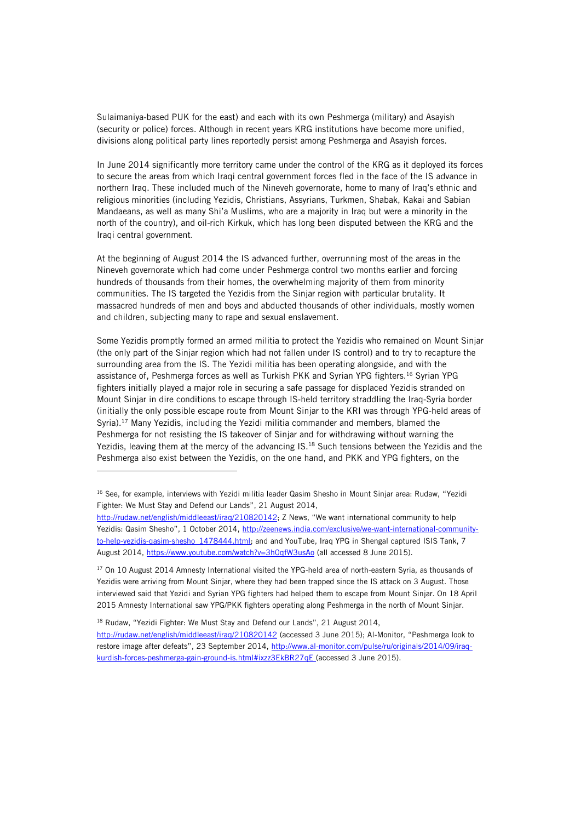Sulaimaniya-based PUK for the east) and each with its own Peshmerga (military) and Asayish (security or police) forces. Although in recent years KRG institutions have become more unified, divisions along political party lines reportedly persist among Peshmerga and Asayish forces.

In June 2014 significantly more territory came under the control of the KRG as it deployed its forces to secure the areas from which Iraqi central government forces fled in the face of the IS advance in northern Iraq. These included much of the Nineveh governorate, home to many of Iraq's ethnic and religious minorities (including Yezidis, Christians, Assyrians, Turkmen, Shabak, Kakai and Sabian Mandaeans, as well as many Shi'a Muslims, who are a majority in Iraq but were a minority in the north of the country), and oil-rich Kirkuk, which has long been disputed between the KRG and the Iraqi central government.

At the beginning of August 2014 the IS advanced further, overrunning most of the areas in the Nineveh governorate which had come under Peshmerga control two months earlier and forcing hundreds of thousands from their homes, the overwhelming majority of them from minority communities. The IS targeted the Yezidis from the Sinjar region with particular brutality. It massacred hundreds of men and boys and abducted thousands of other individuals, mostly women and children, subjecting many to rape and sexual enslavement.

Some Yezidis promptly formed an armed militia to protect the Yezidis who remained on Mount Sinjar (the only part of the Sinjar region which had not fallen under IS control) and to try to recapture the surrounding area from the IS. The Yezidi militia has been operating alongside, and with the assistance of, Peshmerga forces as well as Turkish PKK and Syrian YPG fighters.<sup>16</sup> Syrian YPG fighters initially played a major role in securing a safe passage for displaced Yezidis stranded on Mount Sinjar in dire conditions to escape through IS-held territory straddling the Iraq-Syria border (initially the only possible escape route from Mount Sinjar to the KRI was through YPG-held areas of Syria).<sup>17</sup> Many Yezidis, including the Yezidi militia commander and members, blamed the Peshmerga for not resisting the IS takeover of Sinjar and for withdrawing without warning the Yezidis, leaving them at the mercy of the advancing IS.<sup>18</sup> Such tensions between the Yezidis and the Peshmerga also exist between the Yezidis, on the one hand, and PKK and YPG fighters, on the

<sup>18</sup> Rudaw, "Yezidi Fighter: We Must Stay and Defend our Lands", 21 August 2014,

ł

<sup>&</sup>lt;sup>16</sup> See, for example, interviews with Yezidi militia leader Qasim Shesho in Mount Sinjar area: Rudaw, "Yezidi Fighter: We Must Stay and Defend our Lands", 21 August 2014,

<http://rudaw.net/english/middleeast/iraq/210820142>; Z News, "We want international community to help Yezidis: Qasim Shesho", 1 October 2014, [http://zeenews.india.com/exclusive/we-want-international-community](http://zeenews.india.com/exclusive/we-want-international-community-to-help-yezidis-qasim-shesho_1478444.html)to-help-vezidis-qasim-shesho\_1478444.html; and and YouTube, Iraq YPG in Shengal captured ISIS Tank, 7 August 2014,<https://www.youtube.com/watch?v=3h0qfW3usAo> (all accessed 8 June 2015).

<sup>&</sup>lt;sup>17</sup> On 10 August 2014 Amnesty International visited the YPG-held area of north-eastern Syria, as thousands of Yezidis were arriving from Mount Sinjar, where they had been trapped since the IS attack on 3 August. Those interviewed said that Yezidi and Syrian YPG fighters had helped them to escape from Mount Sinjar. On 18 April 2015 Amnesty International saw YPG/PKK fighters operating along Peshmerga in the north of Mount Sinjar.

<http://rudaw.net/english/middleeast/iraq/210820142> (accessed 3 June 2015); Al-Monitor, "Peshmerga look to restore image after defeats", 23 September 2014, [http://www.al-monitor.com/pulse/ru/originals/2014/09/iraq](http://www.al-monitor.com/pulse/ru/originals/2014/09/iraq-kurdish-forces-peshmerga-gain-ground-is.html#ixzz3EkBR27qE)[kurdish-forces-peshmerga-gain-ground-is.html#ixzz3EkBR27qE](http://www.al-monitor.com/pulse/ru/originals/2014/09/iraq-kurdish-forces-peshmerga-gain-ground-is.html#ixzz3EkBR27qE) (accessed 3 June 2015).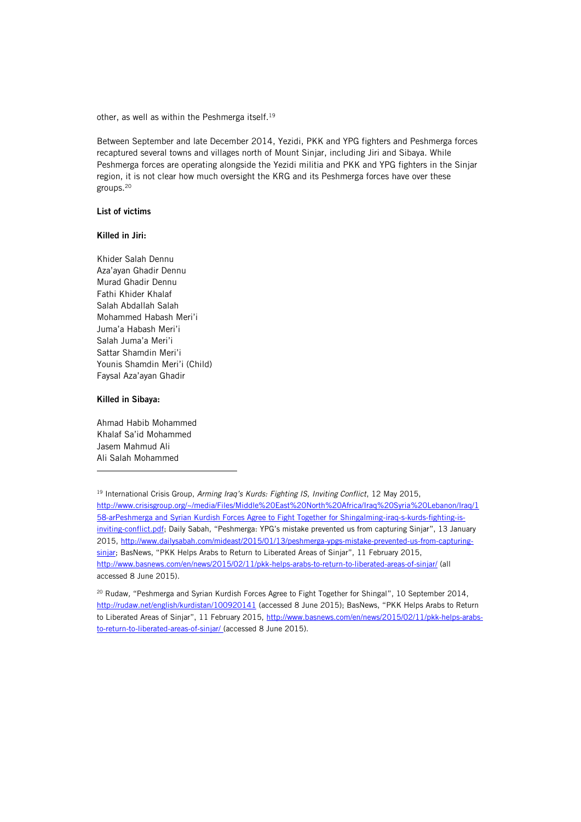other, as well as within the Peshmerga itself.<sup>19</sup>

Between September and late December 2014, Yezidi, PKK and YPG fighters and Peshmerga forces recaptured several towns and villages north of Mount Sinjar, including Jiri and Sibaya. While Peshmerga forces are operating alongside the Yezidi militia and PKK and YPG fighters in the Sinjar region, it is not clear how much oversight the KRG and its Peshmerga forces have over these groups.<sup>20</sup>

### List of victims

#### Killed in Jiri:

Khider Salah Dennu Aza'ayan Ghadir Dennu Murad Ghadir Dennu Fathi Khider Khalaf Salah Abdallah Salah Mohammed Habash Meri'i Juma'a Habash Meri'i Salah Juma'a Meri'i Sattar Shamdin Meri'i Younis Shamdin Meri'i (Child) Faysal Aza'ayan Ghadir

#### Killed in Sibaya:

ł

Ahmad Habib Mohammed Khalaf Sa'id Mohammed Jasem Mahmud Ali Ali Salah Mohammed

<sup>19</sup> International Crisis Group, *Arming Iraq's Kurds: Fighting IS, Inviting Conflict*, 12 May 2015, [http://www.crisisgroup.org/~/media/Files/Middle%20East%20North%20Africa/Iraq%20Syria%20Lebanon/Iraq/1](http://www.crisisgroup.org/~/media/Files/Middle%20East%20North%20Africa/Iraq%20Syria%20Lebanon/Iraq/158-arming-iraq-s-kurds-fighting-is-inviting-conflict.pdf) [58-arPeshmerga and Syrian Kurdish Forces Agree to Fight Together for Shingalming-iraq-s-kurds-fighting-is](http://www.crisisgroup.org/~/media/Files/Middle%20East%20North%20Africa/Iraq%20Syria%20Lebanon/Iraq/158-arming-iraq-s-kurds-fighting-is-inviting-conflict.pdf)[inviting-conflict.pdf](http://www.crisisgroup.org/~/media/Files/Middle%20East%20North%20Africa/Iraq%20Syria%20Lebanon/Iraq/158-arming-iraq-s-kurds-fighting-is-inviting-conflict.pdf); Daily Sabah, "Peshmerga: YPG's mistake prevented us from capturing Sinjar", 13 January 2015[, http://www.dailysabah.com/mideast/2015/01/13/peshmerga-ypgs-mistake-prevented-us-from-capturing](http://www.dailysabah.com/mideast/2015/01/13/peshmerga-ypgs-mistake-prevented-us-from-capturing-sinjar)[sinjar](http://www.dailysabah.com/mideast/2015/01/13/peshmerga-ypgs-mistake-prevented-us-from-capturing-sinjar); BasNews, "PKK Helps Arabs to Return to Liberated Areas of Sinjar", 11 February 2015, <http://www.basnews.com/en/news/2015/02/11/pkk-helps-arabs-to-return-to-liberated-areas-of-sinjar/> (all accessed 8 June 2015).

<sup>20</sup> Rudaw*,* "Peshmerga and Syrian Kurdish Forces Agree to Fight Together for Shingal", 10 September 2014, <http://rudaw.net/english/kurdistan/100920141> (accessed 8 June 2015); BasNews, "PKK Helps Arabs to Return to Liberated Areas of Sinjar", 11 February 2015, [http://www.basnews.com/en/news/2015/02/11/pkk-helps-arabs](http://www.basnews.com/en/news/2015/02/11/pkk-helps-arabs-to-return-to-liberated-areas-of-sinjar/)[to-return-to-liberated-areas-of-sinjar/](http://www.basnews.com/en/news/2015/02/11/pkk-helps-arabs-to-return-to-liberated-areas-of-sinjar/) (accessed 8 June 2015).